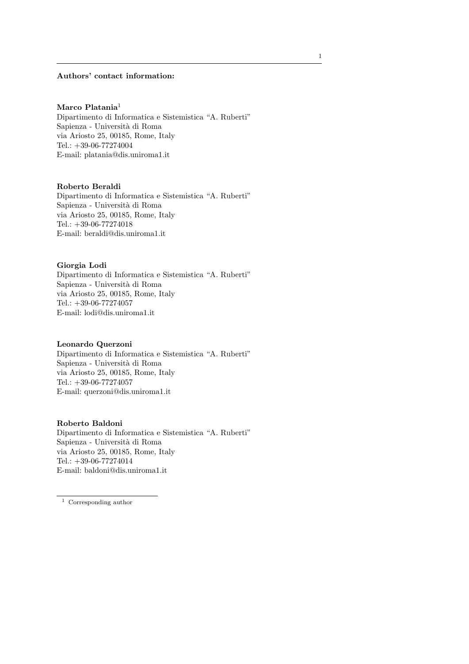# **Authors' contact information:**

## **Marco Platania**<sup>1</sup>

Dipartimento di Informatica e Sistemistica "A. Ruberti" Sapienza - Universit`a di Roma via Ariosto 25, 00185, Rome, Italy Tel.: +39-06-77274004 E-mail: platania@dis.uniroma1.it

# **Roberto Beraldi**

Dipartimento di Informatica e Sistemistica "A. Ruberti" Sapienza - Universit`a di Roma via Ariosto 25, 00185, Rome, Italy Tel.: +39-06-77274018 E-mail: beraldi@dis.uniroma1.it

## **Giorgia Lodi**

Dipartimento di Informatica e Sistemistica "A. Ruberti" Sapienza - Universit`a di Roma via Ariosto 25, 00185, Rome, Italy Tel.: +39-06-77274057 E-mail: lodi@dis.uniroma1.it

#### **Leonardo Querzoni**

Dipartimento di Informatica e Sistemistica "A. Ruberti" Sapienza - Universit`a di Roma via Ariosto 25, 00185, Rome, Italy Tel.: +39-06-77274057 E-mail: querzoni@dis.uniroma1.it

# **Roberto Baldoni**

Dipartimento di Informatica e Sistemistica "A. Ruberti" Sapienza - Universit`a di Roma via Ariosto 25, 00185, Rome, Italy Tel.: +39-06-77274014 E-mail: baldoni@dis.uniroma1.it

 $^{\rm 1}$  Corresponding author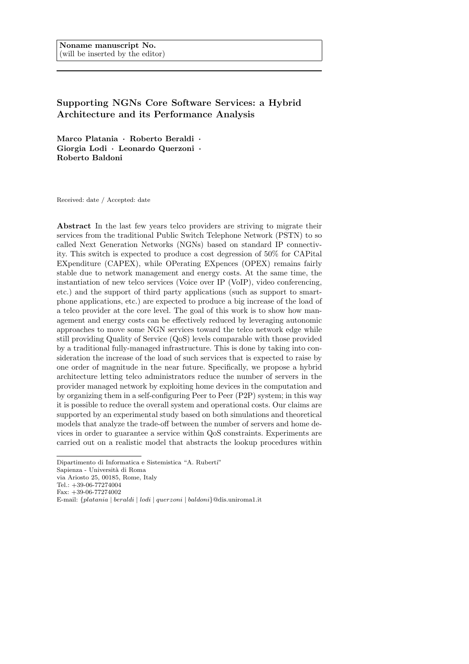# **Supporting NGNs Core Software Services: a Hybrid Architecture and its Performance Analysis**

**Marco Platania** *·* **Roberto Beraldi** *·* **Giorgia Lodi** *·* **Leonardo Querzoni** *·* **Roberto Baldoni**

Received: date / Accepted: date

**Abstract** In the last few years telco providers are striving to migrate their services from the traditional Public Switch Telephone Network (PSTN) to so called Next Generation Networks (NGNs) based on standard IP connectivity. This switch is expected to produce a cost degression of 50% for CAPital EXpenditure (CAPEX), while OPerating EXpences (OPEX) remains fairly stable due to network management and energy costs. At the same time, the instantiation of new telco services (Voice over IP (VoIP), video conferencing, etc.) and the support of third party applications (such as support to smartphone applications, etc.) are expected to produce a big increase of the load of a telco provider at the core level. The goal of this work is to show how management and energy costs can be effectively reduced by leveraging autonomic approaches to move some NGN services toward the telco network edge while still providing Quality of Service (QoS) levels comparable with those provided by a traditional fully-managed infrastructure. This is done by taking into consideration the increase of the load of such services that is expected to raise by one order of magnitude in the near future. Specifically, we propose a hybrid architecture letting telco administrators reduce the number of servers in the provider managed network by exploiting home devices in the computation and by organizing them in a self-configuring Peer to Peer (P2P) system; in this way it is possible to reduce the overall system and operational costs. Our claims are supported by an experimental study based on both simulations and theoretical models that analyze the trade-off between the number of servers and home devices in order to guarantee a service within QoS constraints. Experiments are carried out on a realistic model that abstracts the lookup procedures within

via Ariosto 25, 00185, Rome, Italy

Tel.: +39-06-77274004

 $Fax: +39-06-77274002$ 

Dipartimento di Informatica e Sistemistica "A. Ruberti" Sapienza - Universit`a di Roma

E-mail: *{platania | beraldi | lodi | querzoni | baldoni}*@dis.uniroma1.it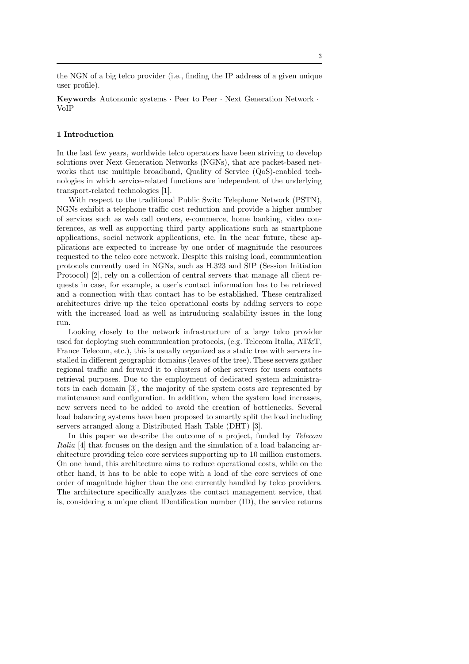the NGN of a big telco provider (i.e., finding the IP address of a given unique user profile).

**Keywords** Autonomic systems *·* Peer to Peer *·* Next Generation Network *·* VoIP

#### **1 Introduction**

In the last few years, worldwide telco operators have been striving to develop solutions over Next Generation Networks (NGNs), that are packet-based networks that use multiple broadband, Quality of Service (QoS)-enabled technologies in which service-related functions are independent of the underlying transport-related technologies [1].

With respect to the traditional Public Switc Telephone Network (PSTN), NGNs exhibit a telephone traffic cost reduction and provide a higher number of services such as web call centers, e-commerce, home banking, video conferences, as well as supporting third party applications such as smartphone applications, social network applications, etc. In the near future, these applications are expected to increase by one order of magnitude the resources requested to the telco core network. Despite this raising load, communication protocols currently used in NGNs, such as H.323 and SIP (Session Initiation Protocol) [2], rely on a collection of central servers that manage all client requests in case, for example, a user's contact information has to be retrieved and a connection with that contact has to be established. These centralized architectures drive up the telco operational costs by adding servers to cope with the increased load as well as intruducing scalability issues in the long run.

Looking closely to the network infrastructure of a large telco provider used for deploying such communication protocols, (e.g. Telecom Italia, AT&T, France Telecom, etc.), this is usually organized as a static tree with servers installed in different geographic domains (leaves of the tree). These servers gather regional traffic and forward it to clusters of other servers for users contacts retrieval purposes. Due to the employment of dedicated system administrators in each domain [3], the majority of the system costs are represented by maintenance and configuration. In addition, when the system load increases, new servers need to be added to avoid the creation of bottlenecks. Several load balancing systems have been proposed to smartly split the load including servers arranged along a Distributed Hash Table (DHT) [3].

In this paper we describe the outcome of a project, funded by *Telecom Italia* [4] that focuses on the design and the simulation of a load balancing architecture providing telco core services supporting up to 10 million customers. On one hand, this architecture aims to reduce operational costs, while on the other hand, it has to be able to cope with a load of the core services of one order of magnitude higher than the one currently handled by telco providers. The architecture specifically analyzes the contact management service, that is, considering a unique client IDentification number (ID), the service returns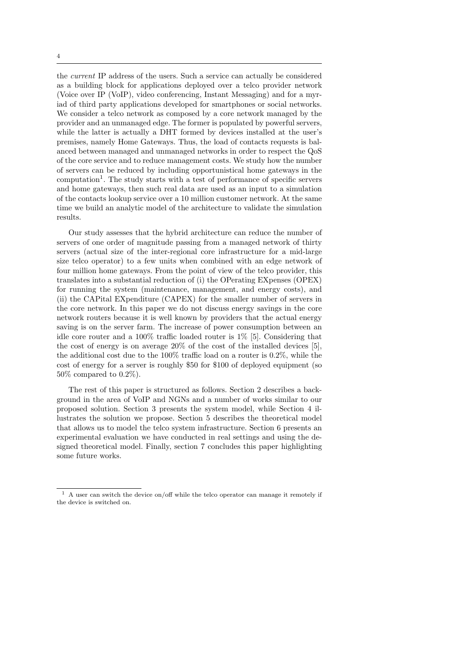the *current* IP address of the users. Such a service can actually be considered as a building block for applications deployed over a telco provider network (Voice over IP (VoIP), video conferencing, Instant Messaging) and for a myriad of third party applications developed for smartphones or social networks. We consider a telco network as composed by a core network managed by the provider and an unmanaged edge. The former is populated by powerful servers, while the latter is actually a DHT formed by devices installed at the user's premises, namely Home Gateways. Thus, the load of contacts requests is balanced between managed and unmanaged networks in order to respect the QoS of the core service and to reduce management costs. We study how the number of servers can be reduced by including opportunistical home gateways in the computation<sup>1</sup>. The study starts with a test of performance of specific servers and home gateways, then such real data are used as an input to a simulation of the contacts lookup service over a 10 million customer network. At the same time we build an analytic model of the architecture to validate the simulation results.

Our study assesses that the hybrid architecture can reduce the number of servers of one order of magnitude passing from a managed network of thirty servers (actual size of the inter-regional core infrastructure for a mid-large size telco operator) to a few units when combined with an edge network of four million home gateways. From the point of view of the telco provider, this translates into a substantial reduction of (i) the OPerating EXpenses (OPEX) for running the system (maintenance, management, and energy costs), and (ii) the CAPital EXpenditure (CAPEX) for the smaller number of servers in the core network. In this paper we do not discuss energy savings in the core network routers because it is well known by providers that the actual energy saving is on the server farm. The increase of power consumption between an idle core router and a 100% traffic loaded router is 1% [5]. Considering that the cost of energy is on average 20% of the cost of the installed devices [5], the additional cost due to the 100% traffic load on a router is 0.2%, while the cost of energy for a server is roughly \$50 for \$100 of deployed equipment (so 50% compared to 0.2%).

The rest of this paper is structured as follows. Section 2 describes a background in the area of VoIP and NGNs and a number of works similar to our proposed solution. Section 3 presents the system model, while Section 4 illustrates the solution we propose. Section 5 describes the theoretical model that allows us to model the telco system infrastructure. Section 6 presents an experimental evaluation we have conducted in real settings and using the designed theoretical model. Finally, section 7 concludes this paper highlighting some future works.

 $1$  A user can switch the device on/off while the telco operator can manage it remotely if the device is switched on.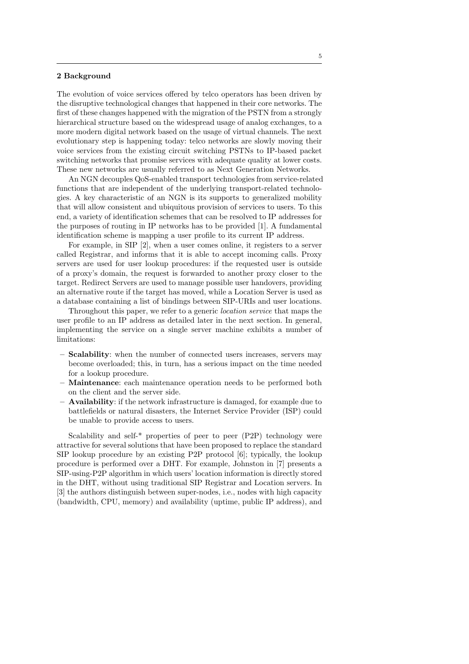## **2 Background**

The evolution of voice services offered by telco operators has been driven by the disruptive technological changes that happened in their core networks. The first of these changes happened with the migration of the PSTN from a strongly hierarchical structure based on the widespread usage of analog exchanges, to a more modern digital network based on the usage of virtual channels. The next evolutionary step is happening today: telco networks are slowly moving their voice services from the existing circuit switching PSTNs to IP-based packet switching networks that promise services with adequate quality at lower costs. These new networks are usually referred to as Next Generation Networks.

An NGN decouples QoS-enabled transport technologies from service-related functions that are independent of the underlying transport-related technologies. A key characteristic of an NGN is its supports to generalized mobility that will allow consistent and ubiquitous provision of services to users. To this end, a variety of identification schemes that can be resolved to IP addresses for the purposes of routing in IP networks has to be provided [1]. A fundamental identification scheme is mapping a user profile to its current IP address.

For example, in SIP [2], when a user comes online, it registers to a server called Registrar, and informs that it is able to accept incoming calls. Proxy servers are used for user lookup procedures: if the requested user is outside of a proxy's domain, the request is forwarded to another proxy closer to the target. Redirect Servers are used to manage possible user handovers, providing an alternative route if the target has moved, while a Location Server is used as a database containing a list of bindings between SIP-URIs and user locations.

Throughout this paper, we refer to a generic *location service* that maps the user profile to an IP address as detailed later in the next section. In general, implementing the service on a single server machine exhibits a number of limitations:

- **Scalability**: when the number of connected users increases, servers may become overloaded; this, in turn, has a serious impact on the time needed for a lookup procedure.
- **Maintenance**: each maintenance operation needs to be performed both on the client and the server side.
- **Availability**: if the network infrastructure is damaged, for example due to battlefields or natural disasters, the Internet Service Provider (ISP) could be unable to provide access to users.

Scalability and self-\* properties of peer to peer  $(P2P)$  technology were attractive for several solutions that have been proposed to replace the standard SIP lookup procedure by an existing P2P protocol [6]; typically, the lookup procedure is performed over a DHT. For example, Johnston in [7] presents a SIP-using-P2P algorithm in which users' location information is directly stored in the DHT, without using traditional SIP Registrar and Location servers. In [3] the authors distinguish between super-nodes, i.e., nodes with high capacity (bandwidth, CPU, memory) and availability (uptime, public IP address), and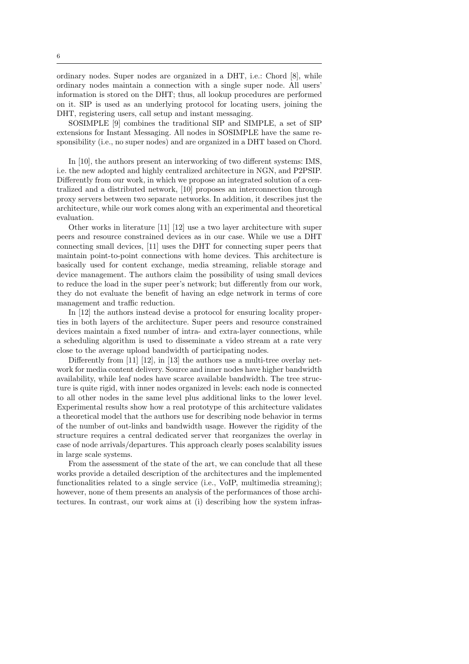ordinary nodes. Super nodes are organized in a DHT, i.e.: Chord [8], while ordinary nodes maintain a connection with a single super node. All users' information is stored on the DHT; thus, all lookup procedures are performed on it. SIP is used as an underlying protocol for locating users, joining the DHT, registering users, call setup and instant messaging.

SOSIMPLE [9] combines the traditional SIP and SIMPLE, a set of SIP extensions for Instant Messaging. All nodes in SOSIMPLE have the same responsibility (i.e., no super nodes) and are organized in a DHT based on Chord.

In [10], the authors present an interworking of two different systems: IMS, i.e. the new adopted and highly centralized architecture in NGN, and P2PSIP. Differently from our work, in which we propose an integrated solution of a centralized and a distributed network, [10] proposes an interconnection through proxy servers between two separate networks. In addition, it describes just the architecture, while our work comes along with an experimental and theoretical evaluation.

Other works in literature [11] [12] use a two layer architecture with super peers and resource constrained devices as in our case. While we use a DHT connecting small devices, [11] uses the DHT for connecting super peers that maintain point-to-point connections with home devices. This architecture is basically used for content exchange, media streaming, reliable storage and device management. The authors claim the possibility of using small devices to reduce the load in the super peer's network; but differently from our work, they do not evaluate the benefit of having an edge network in terms of core management and traffic reduction.

In [12] the authors instead devise a protocol for ensuring locality properties in both layers of the architecture. Super peers and resource constrained devices maintain a fixed number of intra- and extra-layer connections, while a scheduling algorithm is used to disseminate a video stream at a rate very close to the average upload bandwidth of participating nodes.

Differently from [11] [12], in [13] the authors use a multi-tree overlay network for media content delivery. Source and inner nodes have higher bandwidth availability, while leaf nodes have scarce available bandwidth. The tree structure is quite rigid, with inner nodes organized in levels: each node is connected to all other nodes in the same level plus additional links to the lower level. Experimental results show how a real prototype of this architecture validates a theoretical model that the authors use for describing node behavior in terms of the number of out-links and bandwidth usage. However the rigidity of the structure requires a central dedicated server that reorganizes the overlay in case of node arrivals/departures. This approach clearly poses scalability issues in large scale systems.

From the assessment of the state of the art, we can conclude that all these works provide a detailed description of the architectures and the implemented functionalities related to a single service (i.e., VoIP, multimedia streaming); however, none of them presents an analysis of the performances of those architectures. In contrast, our work aims at (i) describing how the system infras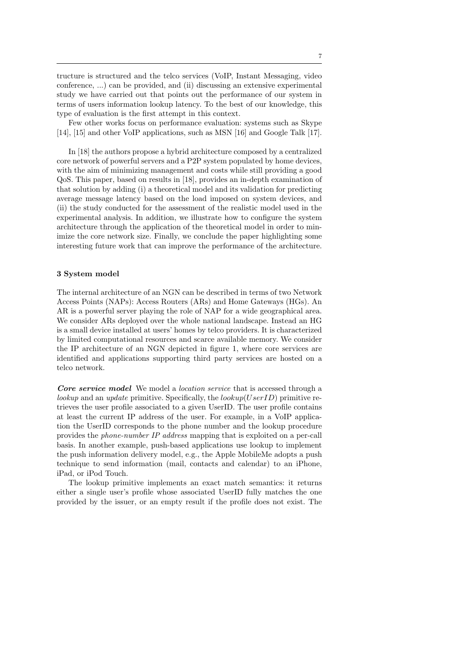tructure is structured and the telco services (VoIP, Instant Messaging, video conference, ...) can be provided, and (ii) discussing an extensive experimental study we have carried out that points out the performance of our system in terms of users information lookup latency. To the best of our knowledge, this type of evaluation is the first attempt in this context.

Few other works focus on performance evaluation: systems such as Skype [14], [15] and other VoIP applications, such as MSN [16] and Google Talk [17].

In [18] the authors propose a hybrid architecture composed by a centralized core network of powerful servers and a P2P system populated by home devices, with the aim of minimizing management and costs while still providing a good QoS. This paper, based on results in [18], provides an in-depth examination of that solution by adding (i) a theoretical model and its validation for predicting average message latency based on the load imposed on system devices, and (ii) the study conducted for the assessment of the realistic model used in the experimental analysis. In addition, we illustrate how to configure the system architecture through the application of the theoretical model in order to minimize the core network size. Finally, we conclude the paper highlighting some interesting future work that can improve the performance of the architecture.

#### **3 System model**

The internal architecture of an NGN can be described in terms of two Network Access Points (NAPs): Access Routers (ARs) and Home Gateways (HGs). An AR is a powerful server playing the role of NAP for a wide geographical area. We consider ARs deployed over the whole national landscape. Instead an HG is a small device installed at users' homes by telco providers. It is characterized by limited computational resources and scarce available memory. We consider the IP architecture of an NGN depicted in figure 1, where core services are identified and applications supporting third party services are hosted on a telco network.

*Core service model* We model a *location service* that is accessed through a *lookup* and an *update* primitive. Specifically, the *lookup*(*UserID*) primitive retrieves the user profile associated to a given UserID. The user profile contains at least the current IP address of the user. For example, in a VoIP application the UserID corresponds to the phone number and the lookup procedure provides the *phone-number IP address* mapping that is exploited on a per-call basis. In another example, push-based applications use lookup to implement the push information delivery model, e.g., the Apple MobileMe adopts a push technique to send information (mail, contacts and calendar) to an iPhone, iPad, or iPod Touch.

The lookup primitive implements an exact match semantics: it returns either a single user's profile whose associated UserID fully matches the one provided by the issuer, or an empty result if the profile does not exist. The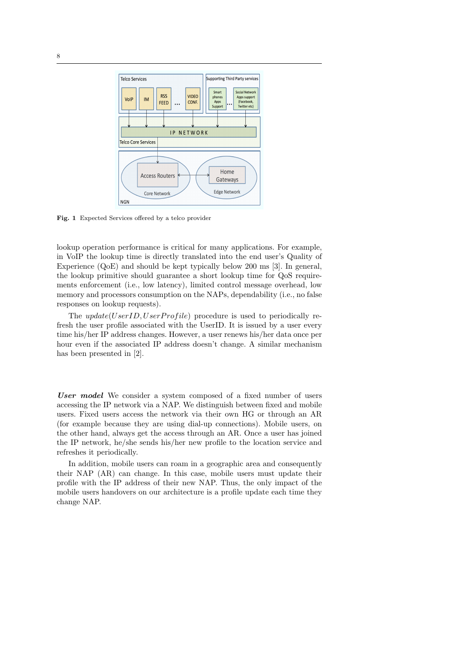

**Fig. 1** Expected Services offered by a telco provider

lookup operation performance is critical for many applications. For example, in VoIP the lookup time is directly translated into the end user's Quality of Experience (QoE) and should be kept typically below 200 ms [3]. In general, the lookup primitive should guarantee a short lookup time for QoS requirements enforcement (i.e., low latency), limited control message overhead, low memory and processors consumption on the NAPs, dependability (i.e., no false responses on lookup requests).

The *update*(*UserID*, *UserProfile*) procedure is used to periodically refresh the user profile associated with the UserID. It is issued by a user every time his/her IP address changes. However, a user renews his/her data once per hour even if the associated IP address doesn't change. A similar mechanism has been presented in [2].

*User model* We consider a system composed of a fixed number of users accessing the IP network via a NAP. We distinguish between fixed and mobile users. Fixed users access the network via their own HG or through an AR (for example because they are using dial-up connections). Mobile users, on the other hand, always get the access through an AR. Once a user has joined the IP network, he/she sends his/her new profile to the location service and refreshes it periodically.

In addition, mobile users can roam in a geographic area and consequently their NAP (AR) can change. In this case, mobile users must update their profile with the IP address of their new NAP. Thus, the only impact of the mobile users handovers on our architecture is a profile update each time they change NAP.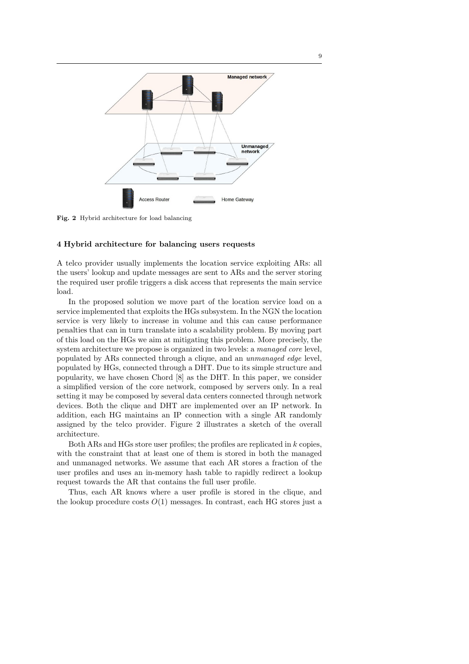

**Fig. 2** Hybrid architecture for load balancing

#### **4 Hybrid architecture for balancing users requests**

A telco provider usually implements the location service exploiting ARs: all the users' lookup and update messages are sent to ARs and the server storing the required user profile triggers a disk access that represents the main service load.

In the proposed solution we move part of the location service load on a service implemented that exploits the HGs subsystem. In the NGN the location service is very likely to increase in volume and this can cause performance penalties that can in turn translate into a scalability problem. By moving part of this load on the HGs we aim at mitigating this problem. More precisely, the system architecture we propose is organized in two levels: a *managed core* level, populated by ARs connected through a clique, and an *unmanaged edge* level, populated by HGs, connected through a DHT. Due to its simple structure and popularity, we have chosen Chord [8] as the DHT. In this paper, we consider a simplified version of the core network, composed by servers only. In a real setting it may be composed by several data centers connected through network devices. Both the clique and DHT are implemented over an IP network. In addition, each HG maintains an IP connection with a single AR randomly assigned by the telco provider. Figure 2 illustrates a sketch of the overall architecture.

Both ARs and HGs store user profiles; the profiles are replicated in *k* copies, with the constraint that at least one of them is stored in both the managed and unmanaged networks. We assume that each AR stores a fraction of the user profiles and uses an in-memory hash table to rapidly redirect a lookup request towards the AR that contains the full user profile.

Thus, each AR knows where a user profile is stored in the clique, and the lookup procedure costs  $O(1)$  messages. In contrast, each HG stores just a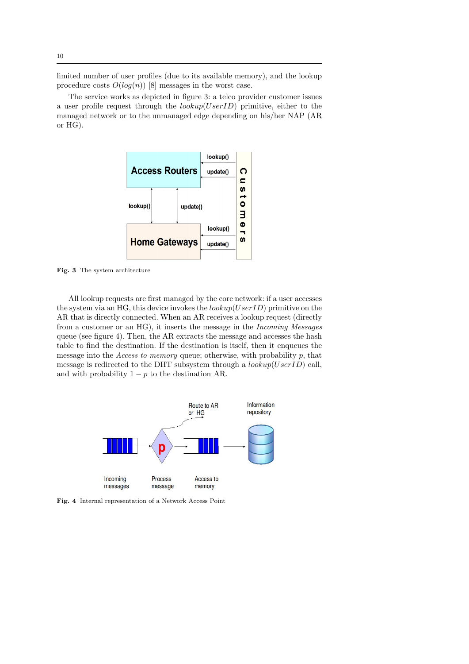limited number of user profiles (due to its available memory), and the lookup procedure costs  $O(log(n))$  [8] messages in the worst case.

The service works as depicted in figure 3: a telco provider customer issues a user profile request through the *lookup*(*UserID*) primitive, either to the managed network or to the unmanaged edge depending on his/her NAP (AR or HG).



**Fig. 3** The system architecture

All lookup requests are first managed by the core network: if a user accesses the system via an HG, this device invokes the *lookup*(*UserID*) primitive on the AR that is directly connected. When an AR receives a lookup request (directly from a customer or an HG), it inserts the message in the *Incoming Messages* queue (see figure 4). Then, the AR extracts the message and accesses the hash table to find the destination. If the destination is itself, then it enqueues the message into the *Access to memory* queue; otherwise, with probability *p*, that message is redirected to the DHT subsystem through a *lookup*(*UserID*) call, and with probability  $1 - p$  to the destination AR.



**Fig. 4** Internal representation of a Network Access Point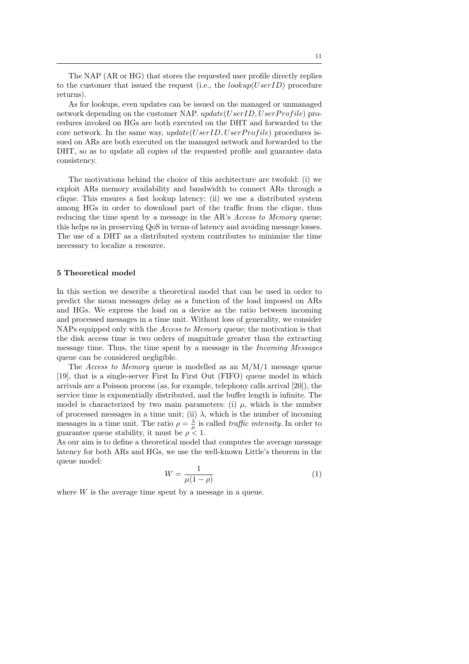The NAP (AR or HG) that stores the requested user profile directly replies to the customer that issued the request (i.e., the *lookup*(*UserID*) procedure returns).

As for lookups, even updates can be issued on the managed or unmanaged network depending on the customer NAP.  $update(UserID, UserProfile)$  procedures invoked on HGs are both executed on the DHT and forwarded to the core network. In the same way, *update*(*UserID, UserProfile*) procedures issued on ARs are both executed on the managed network and forwarded to the DHT, so as to update all copies of the requested profile and guarantee data consistency.

The motivations behind the choice of this architecture are twofold: (i) we exploit ARs memory availability and bandwidth to connect ARs through a clique. This ensures a fast lookup latency; (ii) we use a distributed system among HGs in order to download part of the traffic from the clique, thus reducing the time spent by a message in the AR's *Access to Memory* queue; this helps us in preserving QoS in terms of latency and avoiding message losses. The use of a DHT as a distributed system contributes to minimize the time necessary to localize a resource.

#### **5 Theoretical model**

In this section we describe a theoretical model that can be used in order to predict the mean messages delay as a function of the load imposed on ARs and HGs. We express the load on a device as the ratio between incoming and processed messages in a time unit. Without loss of generality, we consider NAPs equipped only with the *Access to Memory* queue; the motivation is that the disk access time is two orders of magnitude greater than the extracting message time. Thus, the time spent by a message in the *Incoming Messages* queue can be considered negligible.

The *Access to Memory* queue is modelled as an M/M/1 message queue [19], that is a single-server First In First Out (FIFO) queue model in which arrivals are a Poisson process (as, for example, telephony calls arrival [20]), the service time is exponentially distributed, and the buffer length is infinite. The model is characterized by two main parameters: (i)  $\mu$ , which is the number of processed messages in a time unit; (ii)  $\lambda$ , which is the number of incoming messages in a time unit. The ratio  $\rho = \frac{\lambda}{\mu}$  is called *traffic intensity*. In order to guarantee queue stability, it must be  $\rho < 1$ .

As our aim is to define a theoretical model that computes the average message latency for both ARs and HGs, we use the well-known Little's theorem in the queue model:

$$
W = \frac{1}{\mu(1 - \rho)}\tag{1}
$$

where *W* is the average time spent by a message in a queue.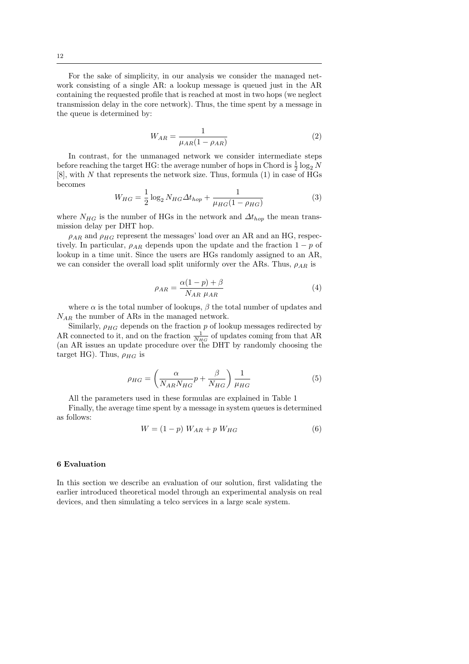For the sake of simplicity, in our analysis we consider the managed network consisting of a single AR: a lookup message is queued just in the AR containing the requested profile that is reached at most in two hops (we neglect transmission delay in the core network). Thus, the time spent by a message in the queue is determined by:

$$
W_{AR} = \frac{1}{\mu_{AR}(1 - \rho_{AR})}
$$
\n<sup>(2)</sup>

In contrast, for the unmanaged network we consider intermediate steps before reaching the target HG: the average number of hops in Chord is  $\frac{1}{2} \log_2 N$ [8], with *N* that represents the network size. Thus, formula (1) in case of HGs becomes

$$
W_{HG} = \frac{1}{2} \log_2 N_{HG} \Delta t_{hop} + \frac{1}{\mu_{HG} (1 - \rho_{HG})}
$$
(3)

where  $N_{HG}$  is the number of HGs in the network and  $\Delta t_{hop}$  the mean transmission delay per DHT hop.

 $\rho_{AR}$  and  $\rho_{HG}$  represent the messages' load over an AR and an HG, respectively. In particular,  $\rho_{AR}$  depends upon the update and the fraction  $1 - p$  of lookup in a time unit. Since the users are HGs randomly assigned to an AR, we can consider the overall load split uniformly over the ARs. Thus,  $\rho_{AR}$  is

$$
\rho_{AR} = \frac{\alpha(1-p) + \beta}{N_{AR} \mu_{AR}} \tag{4}
$$

where  $\alpha$  is the total number of lookups,  $\beta$  the total number of updates and *NAR* the number of ARs in the managed network.

Similarly,  $\rho_{HG}$  depends on the fraction  $p$  of lookup messages redirected by AR connected to it, and on the fraction  $\frac{1}{N_{HG}}$  of updates coming from that AR (an AR issues an update procedure over the DHT by randomly choosing the target HG). Thus,  $\rho_{HG}$  is

$$
\rho_{HG} = \left(\frac{\alpha}{N_{AR}N_{HG}}p + \frac{\beta}{N_{HG}}\right)\frac{1}{\mu_{HG}}
$$
\n(5)

All the parameters used in these formulas are explained in Table 1

Finally, the average time spent by a message in system queues is determined as follows:

$$
W = (1 - p) W_{AR} + p W_{HG}
$$
\n
$$
(6)
$$

#### **6 Evaluation**

In this section we describe an evaluation of our solution, first validating the earlier introduced theoretical model through an experimental analysis on real devices, and then simulating a telco services in a large scale system.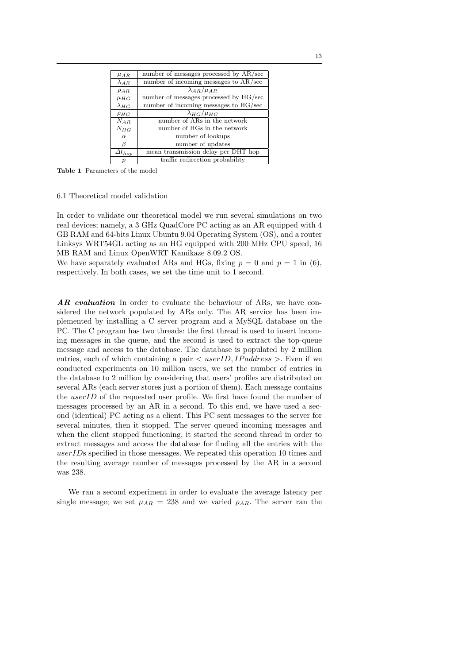| $\mu_{AR}$       | number of messages processed by AR/sec |  |
|------------------|----------------------------------------|--|
| $\lambda_{AR}$   | number of incoming messages to AR/sec  |  |
| $\rho_{AR}$      | $\lambda_{AB}/\mu_{AB}$                |  |
| $\mu_{HG}$       | number of messages processed by HG/sec |  |
| $\lambda_{HG}$   | number of incoming messages to HG/sec  |  |
| $\rho_{HG}$      | $\lambda_{HG}/\mu_{HG}$                |  |
| $N_{AR}$         | number of ARs in the network           |  |
| $N_{HG}$         | number of HGs in the network           |  |
| $\alpha$         | number of lookups                      |  |
| β                | number of updates                      |  |
| $\Delta t_{hop}$ | mean transmission delay per DHT hop    |  |
| $\boldsymbol{p}$ | traffic redirection probability        |  |

**Table 1** Parameters of the model

6.1 Theoretical model validation

In order to validate our theoretical model we run several simulations on two real devices; namely, a 3 GHz QuadCore PC acting as an AR equipped with 4 GB RAM and 64-bits Linux Ubuntu 9.04 Operating System (OS), and a router Linksys WRT54GL acting as an HG equipped with 200 MHz CPU speed, 16 MB RAM and Linux OpenWRT Kamikaze 8.09.2 OS.

We have separately evaluated ARs and HGs, fixing  $p = 0$  and  $p = 1$  in (6), respectively. In both cases, we set the time unit to 1 second.

*AR evaluation* In order to evaluate the behaviour of ARs, we have considered the network populated by ARs only. The AR service has been implemented by installing a C server program and a MySQL database on the PC. The C program has two threads: the first thread is used to insert incoming messages in the queue, and the second is used to extract the top-queue message and access to the database. The database is populated by 2 million entries, each of which containing a pair *< userID, IP address >*. Even if we conducted experiments on 10 million users, we set the number of entries in the database to 2 million by considering that users' profiles are distributed on several ARs (each server stores just a portion of them). Each message contains the *userID* of the requested user profile. We first have found the number of messages processed by an AR in a second. To this end, we have used a second (identical) PC acting as a client. This PC sent messages to the server for several minutes, then it stopped. The server queued incoming messages and when the client stopped functioning, it started the second thread in order to extract messages and access the database for finding all the entries with the *userID*s specified in those messages. We repeated this operation 10 times and the resulting average number of messages processed by the AR in a second was 238.

We ran a second experiment in order to evaluate the average latency per single message; we set  $\mu_{AR} = 238$  and we varied  $\rho_{AR}$ . The server ran the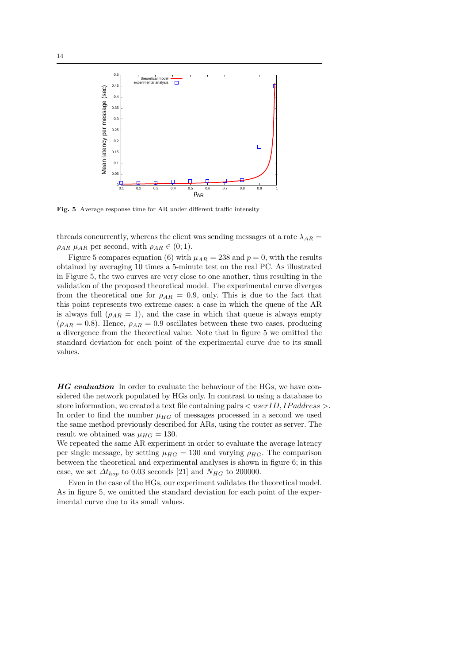

**Fig. 5** Average response time for AR under different traffic intensity

threads concurrently, whereas the client was sending messages at a rate  $\lambda_{AR}$  =  $\rho_{AR}$  $\mu_{AR}$  per second, with  $\rho_{AR} \in (0,1)$ .

Figure 5 compares equation (6) with  $\mu_{AR} = 238$  and  $p = 0$ , with the results obtained by averaging 10 times a 5-minute test on the real PC. As illustrated in Figure 5, the two curves are very close to one another, thus resulting in the validation of the proposed theoretical model. The experimental curve diverges from the theoretical one for  $\rho_{AR} = 0.9$ , only. This is due to the fact that this point represents two extreme cases: a case in which the queue of the AR is always full  $(\rho_{AR} = 1)$ , and the case in which that queue is always empty  $(\rho_{AR} = 0.8)$ . Hence,  $\rho_{AR} = 0.9$  oscillates between these two cases, producing a divergence from the theoretical value. Note that in figure 5 we omitted the standard deviation for each point of the experimental curve due to its small values.

*HG evaluation* In order to evaluate the behaviour of the HGs, we have considered the network populated by HGs only. In contrast to using a database to store information, we created a text file containing pairs *< userID, IP address >*. In order to find the number  $\mu_{HG}$  of messages processed in a second we used the same method previously described for ARs, using the router as server. The result we obtained was  $\mu_{HG} = 130$ .

We repeated the same AR experiment in order to evaluate the average latency per single message, by setting  $\mu_{HG} = 130$  and varying  $\rho_{HG}$ . The comparison between the theoretical and experimental analyses is shown in figure 6; in this case, we set  $\Delta t_{hop}$  to 0.03 seconds [21] and  $N_{HG}$  to 200000.

Even in the case of the HGs, our experiment validates the theoretical model. As in figure 5, we omitted the standard deviation for each point of the experimental curve due to its small values.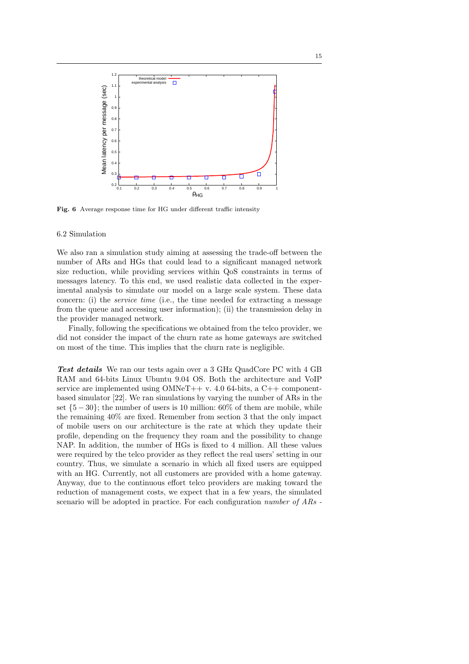

**Fig. 6** Average response time for HG under different traffic intensity

#### 6.2 Simulation

We also ran a simulation study aiming at assessing the trade-off between the number of ARs and HGs that could lead to a significant managed network size reduction, while providing services within QoS constraints in terms of messages latency. To this end, we used realistic data collected in the experimental analysis to simulate our model on a large scale system. These data concern: (i) the *service time* (i.e., the time needed for extracting a message from the queue and accessing user information); (ii) the transmission delay in the provider managed network.

Finally, following the specifications we obtained from the telco provider, we did not consider the impact of the churn rate as home gateways are switched on most of the time. This implies that the churn rate is negligible.

*Test details* We ran our tests again over a 3 GHz QuadCore PC with 4 GB RAM and 64-bits Linux Ubuntu 9.04 OS. Both the architecture and VoIP service are implemented using  $OMNeT++v.$  4.0 64-bits, a  $C++$  componentbased simulator [22]. We ran simulations by varying the number of ARs in the set  ${5 − 30}$ ; the number of users is 10 million: 60% of them are mobile, while the remaining 40% are fixed. Remember from section 3 that the only impact of mobile users on our architecture is the rate at which they update their profile, depending on the frequency they roam and the possibility to change NAP. In addition, the number of HGs is fixed to 4 million. All these values were required by the telco provider as they reflect the real users' setting in our country. Thus, we simulate a scenario in which all fixed users are equipped with an HG. Currently, not all customers are provided with a home gateway. Anyway, due to the continuous effort telco providers are making toward the reduction of management costs, we expect that in a few years, the simulated scenario will be adopted in practice. For each configuration *number of ARs -*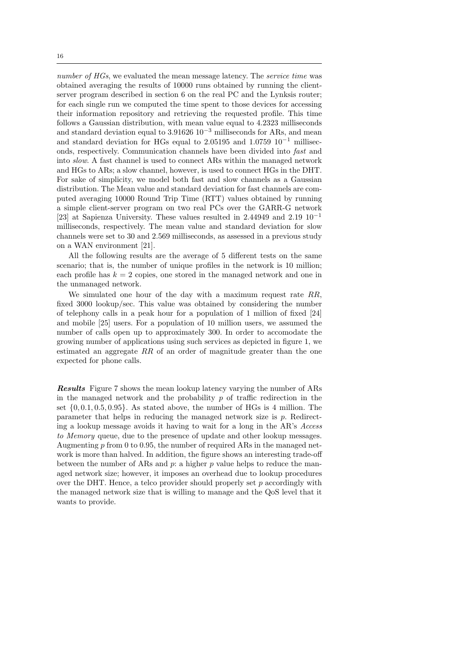*number of HGs*, we evaluated the mean message latency. The *service time* was obtained averaging the results of 10000 runs obtained by running the clientserver program described in section 6 on the real PC and the Lynksis router; for each single run we computed the time spent to those devices for accessing their information repository and retrieving the requested profile. This time follows a Gaussian distribution, with mean value equal to 4*.*2323 milliseconds and standard deviation equal to 3*.*91626 10*−*<sup>3</sup> milliseconds for ARs, and mean and standard deviation for HGs equal to 2*.*05195 and 1*.*0759 10*−*<sup>1</sup> milliseconds, respectively. Communication channels have been divided into *fast* and into *slow*. A fast channel is used to connect ARs within the managed network and HGs to ARs; a slow channel, however, is used to connect HGs in the DHT. For sake of simplicity, we model both fast and slow channels as a Gaussian distribution. The Mean value and standard deviation for fast channels are computed averaging 10000 Round Trip Time (RTT) values obtained by running a simple client-server program on two real PCs over the GARR-G network [23] at Sapienza University. These values resulted in 2*.*44949 and 2*.*19 10*−*<sup>1</sup> milliseconds, respectively. The mean value and standard deviation for slow channels were set to 30 and 2*.*569 milliseconds, as assessed in a previous study on a WAN environment [21].

All the following results are the average of 5 different tests on the same scenario; that is, the number of unique profiles in the network is 10 million; each profile has  $k = 2$  copies, one stored in the managed network and one in the unmanaged network.

We simulated one hour of the day with a maximum request rate *RR*, fixed 3000 lookup/sec. This value was obtained by considering the number of telephony calls in a peak hour for a population of 1 million of fixed [24] and mobile [25] users. For a population of 10 million users, we assumed the number of calls open up to approximately 300. In order to accomodate the growing number of applications using such services as depicted in figure 1, we estimated an aggregate *RR* of an order of magnitude greater than the one expected for phone calls.

*Results* Figure 7 shows the mean lookup latency varying the number of ARs in the managed network and the probability *p* of traffic redirection in the set  $\{0, 0.1, 0.5, 0.95\}$ . As stated above, the number of HGs is 4 million. The parameter that helps in reducing the managed network size is *p*. Redirecting a lookup message avoids it having to wait for a long in the AR's *Access to Memory* queue, due to the presence of update and other lookup messages. Augmenting *p* from 0 to 0*.*95, the number of required ARs in the managed network is more than halved. In addition, the figure shows an interesting trade-off between the number of ARs and *p*: a higher *p* value helps to reduce the managed network size; however, it imposes an overhead due to lookup procedures over the DHT. Hence, a telco provider should properly set *p* accordingly with the managed network size that is willing to manage and the QoS level that it wants to provide.

16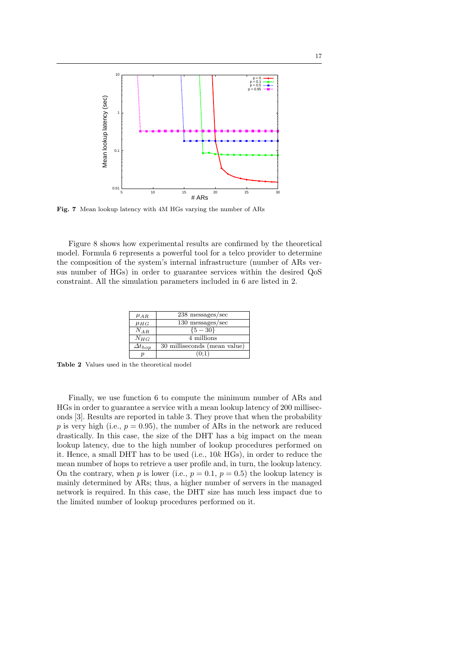

**Fig. 7** Mean lookup latency with 4M HGs varying the number of ARs

Figure 8 shows how experimental results are confirmed by the theoretical model. Formula 6 represents a powerful tool for a telco provider to determine the composition of the system's internal infrastructure (number of ARs versus number of HGs) in order to guarantee services within the desired QoS constraint. All the simulation parameters included in 6 are listed in 2.

| $\mu_{AR}$       | 238 messages/sec             |
|------------------|------------------------------|
| $\mu_{HG}$       | 130 messages/sec             |
| $N_{AB}$         | $\{5 - 30\}$                 |
| $N_{HG}$         | 4 millions                   |
| $\Delta t_{hop}$ | 30 milliseconds (mean value) |
| р                | (0:1)                        |
|                  |                              |

**Table 2** Values used in the theoretical model

Finally, we use function 6 to compute the minimum number of ARs and HGs in order to guarantee a service with a mean lookup latency of 200 milliseconds [3]. Results are reported in table 3. They prove that when the probability  $p$  is very high (i.e.,  $p = 0.95$ ), the number of ARs in the network are reduced drastically. In this case, the size of the DHT has a big impact on the mean lookup latency, due to the high number of lookup procedures performed on it. Hence, a small DHT has to be used (i.e., 10*k* HGs), in order to reduce the mean number of hops to retrieve a user profile and, in turn, the lookup latency. On the contrary, when  $p$  is lower (i.e.,  $p = 0.1$ ,  $p = 0.5$ ) the lookup latency is mainly determined by ARs; thus, a higher number of servers in the managed network is required. In this case, the DHT size has much less impact due to the limited number of lookup procedures performed on it.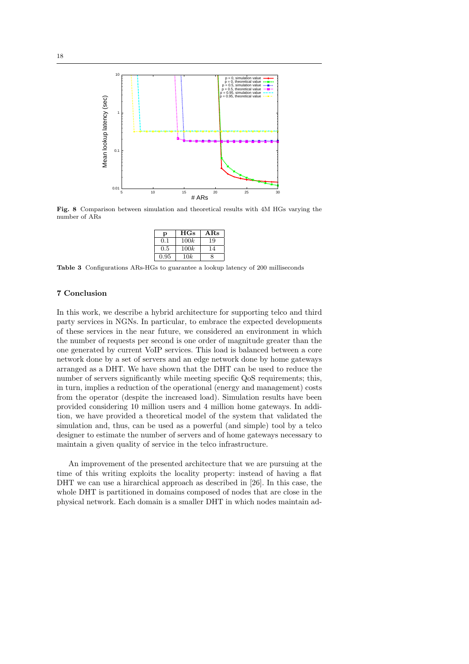

**Fig. 8** Comparison between simulation and theoretical results with 4M HGs varying the number of ARs

| р    | HGs  | $\rm ARs$ |
|------|------|-----------|
| 0.1  | 100k | 19        |
| 0.5  | 100k | 14        |
| 0.95 | 10k  | 8         |

**Table 3** Configurations ARs-HGs to guarantee a lookup latency of 200 milliseconds

# **7 Conclusion**

In this work, we describe a hybrid architecture for supporting telco and third party services in NGNs. In particular, to embrace the expected developments of these services in the near future, we considered an environment in which the number of requests per second is one order of magnitude greater than the one generated by current VoIP services. This load is balanced between a core network done by a set of servers and an edge network done by home gateways arranged as a DHT. We have shown that the DHT can be used to reduce the number of servers significantly while meeting specific QoS requirements; this, in turn, implies a reduction of the operational (energy and management) costs from the operator (despite the increased load). Simulation results have been provided considering 10 million users and 4 million home gateways. In addition, we have provided a theoretical model of the system that validated the simulation and, thus, can be used as a powerful (and simple) tool by a telco designer to estimate the number of servers and of home gateways necessary to maintain a given quality of service in the telco infrastructure.

An improvement of the presented architecture that we are pursuing at the time of this writing exploits the locality property: instead of having a flat DHT we can use a hirarchical approach as described in [26]. In this case, the whole DHT is partitioned in domains composed of nodes that are close in the physical network. Each domain is a smaller DHT in which nodes maintain ad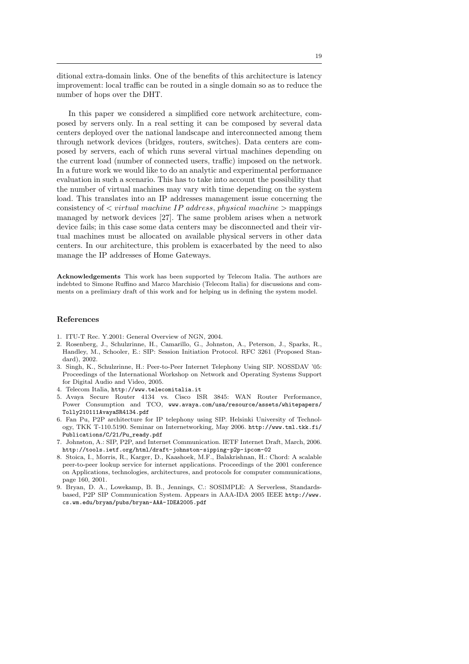ditional extra-domain links. One of the benefits of this architecture is latency improvement: local traffic can be routed in a single domain so as to reduce the number of hops over the DHT.

In this paper we considered a simplified core network architecture, composed by servers only. In a real setting it can be composed by several data centers deployed over the national landscape and interconnected among them through network devices (bridges, routers, switches). Data centers are composed by servers, each of which runs several virtual machines depending on the current load (number of connected users, traffic) imposed on the network. In a future work we would like to do an analytic and experimental performance evaluation in such a scenario. This has to take into account the possibility that the number of virtual machines may vary with time depending on the system load. This translates into an IP addresses management issue concerning the consistency of *< virtual machine IP address, physical machine >* mappings managed by network devices [27]. The same problem arises when a network device fails; in this case some data centers may be disconnected and their virtual machines must be allocated on available physical servers in other data centers. In our architecture, this problem is exacerbated by the need to also manage the IP addresses of Home Gateways.

**Acknowledgements** This work has been supported by Telecom Italia. The authors are indebted to Simone Ruffino and Marco Marchisio (Telecom Italia) for discussions and comments on a prelimiary draft of this work and for helping us in defining the system model.

#### **References**

- 1. ITU-T Rec. Y.2001: General Overview of NGN, 2004.
- 2. Rosenberg, J., Schulzrinne, H., Camarillo, G., Johnston, A., Peterson, J., Sparks, R., Handley, M., Schooler, E.: SIP: Session Initiation Protocol. RFC 3261 (Proposed Standard), 2002.
- 3. Singh, K., Schulzrinne, H.: Peer-to-Peer Internet Telephony Using SIP. NOSSDAV '05: Proceedings of the International Workshop on Network and Operating Systems Support for Digital Audio and Video, 2005.
- 4. Telecom Italia, http://www.telecomitalia.it
- 5. Avaya Secure Router 4134 vs. Cisco ISR 3845: WAN Router Performance, Power Consumption and TCO, www.avaya.com/usa/resource/assets/whitepapers/ Tolly210111AvayaSR4134.pdf
- 6. Fan Pu, P2P architecture for IP telephony using SIP. Helsinki University of Technology, TKK T-110.5190. Seminar on Internetworking, May 2006. http://www.tml.tkk.fi/ Publications/C/21/Pu\_ready.pdf
- 7. Johnston, A.: SIP, P2P, and Internet Communication. IETF Internet Draft, March, 2006. http://tools.ietf.org/html/draft-johnston-sipping-p2p-ipcom-02
- 8. Stoica, I., Morris, R., Karger, D., Kaashoek, M.F., Balakrishnan, H.: Chord: A scalable peer-to-peer lookup service for internet applications. Proceedings of the 2001 conference on Applications, technologies, architectures, and protocols for computer communications, page 160, 2001.
- 9. Bryan, D. A., Lowekamp, B. B., Jennings, C.: SOSIMPLE: A Serverless, Standardsbased, P2P SIP Communication System. Appears in AAA-IDA 2005 IEEE http://www. cs.wm.edu/bryan/pubs/bryan-AAA-IDEA2005.pdf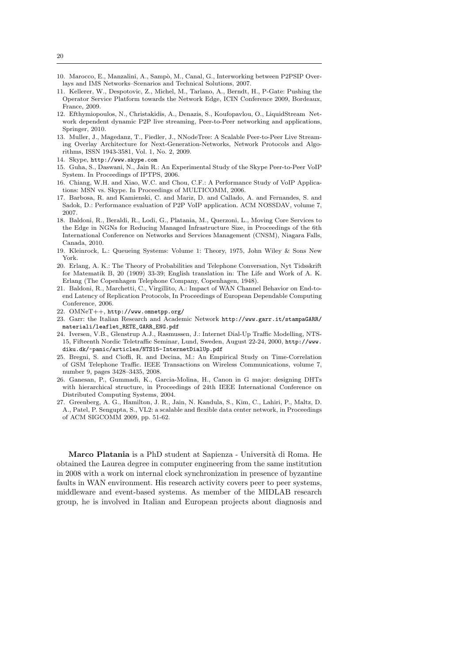- 10. Marocco, E., Manzalini, A., Sampò, M., Canal, G., Interworking between P2PSIP Overlays and IMS Networks–Scenarios and Technical Solutions, 2007.
- 11. Kellerer, W., Despotovic, Z., Michel, M., Tarlano, A., Berndt, H., P-Gate: Pushing the Operator Service Platform towards the Network Edge, ICIN Conference 2009, Bordeaux, France, 2009.
- 12. Efthymiopoulos, N., Christakidis, A., Denazis, S., Koufopavlou, O., LiquidStream Network dependent dynamic P2P live streaming, Peer-to-Peer networking and applications, Springer, 2010.
- 13. Muller, J., Magedanz, T., Fiedler, J., NNodeTree: A Scalable Peer-to-Peer Live Streaming Overlay Architecture for Next-Generation-Networks, Network Protocols and Algorithms, ISSN 1943-3581, Vol. 1, No. 2, 2009.
- 14. Skype, http://www.skype.com
- 15. Guha, S., Daswani, N., Jain R.: An Experimental Study of the Skype Peer-to-Peer VoIP System. In Proceedings of IPTPS, 2006.
- 16. Chiang, W.H. and Xiao, W.C. and Chou, C.F.: A Performance Study of VoIP Applications: MSN vs. Skype. In Proceedings of MULTICOMM, 2006.
- 17. Barbosa, R. and Kamienski, C. and Mariz, D. and Callado, A. and Fernandes, S. and Sadok, D.: Performance evaluation of P2P VoIP application. ACM NOSSDAV, volume 7, 2007.
- 18. Baldoni, R., Beraldi, R., Lodi, G., Platania, M., Querzoni, L., Moving Core Services to the Edge in NGNs for Reducing Managed Infrastructure Size, in Proceedings of the 6th International Conference on Networks and Services Management (CNSM), Niagara Falls, Canada, 2010.
- 19. Kleinrock, L.: Queueing Systems: Volume 1: Theory, 1975, John Wiley & Sons New York.
- 20. Erlang, A. K.: The Theory of Probabilities and Telephone Conversation, Nyt Tidsskrift for Matematik B, 20 (1909) 33-39; English translation in: The Life and Work of A. K. Erlang (The Copenhagen Telephone Company, Copenhagen, 1948).
- 21. Baldoni, R., Marchetti, C., Virgillito, A.: Impact of WAN Channel Behavior on End-toend Latency of Replication Protocols, In Proceedings of European Dependable Computing Conference, 2006.
- 22. OMNeT++, http://www.omnetpp.org/
- 23. Garr: the Italian Research and Academic Network http://www.garr.it/stampaGARR/ materiali/leaflet\_RETE\_GARR\_ENG.pdf
- 24. Iversen, V.B., Glenstrup A.J., Rasmussen, J.: Internet Dial-Up Traffic Modelling, NTS-15, Fifteenth Nordic Teletraffic Seminar, Lund, Sweden, August 22-24, 2000, http://www. diku.dk/~panic/articles/NTS15-InternetDialUp.pdf
- 25. Bregni, S. and Cioffi, R. and Decina, M.: An Empirical Study on Time-Correlation of GSM Telephone Traffic. IEEE Transactions on Wireless Communications, volume 7, number 9, pages 3428–3435, 2008.
- 26. Ganesan, P., Gummadi, K., Garcia-Molina, H., Canon in G major: designing DHTs with hierarchical structure, in Proceedings of 24th IEEE International Conference on Distributed Computing Systems, 2004.
- 27. Greenberg, A. G., Hamilton, J. R., Jain, N. Kandula, S., Kim, C., Lahiri, P., Maltz, D. A., Patel, P. Sengupta, S., VL2: a scalable and flexible data center network, in Proceedings of ACM SIGCOMM 2009, pp. 51-62.

Marco Platania is a PhD student at Sapienza - Università di Roma. He obtained the Laurea degree in computer engineering from the same institution in 2008 with a work on internal clock synchronization in presence of byzantine faults in WAN environment. His research activity covers peer to peer systems, middleware and event-based systems. As member of the MIDLAB research group, he is involved in Italian and European projects about diagnosis and